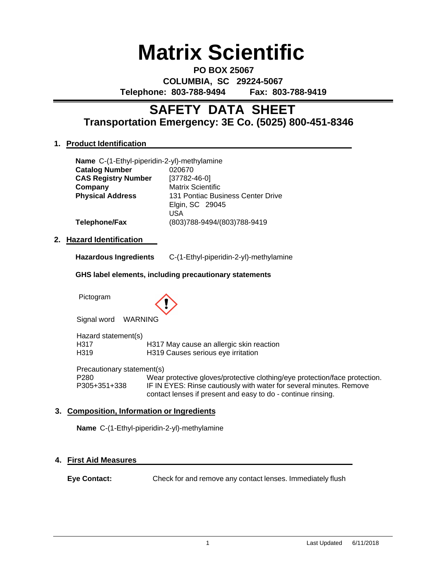# **Matrix Scientific**

**PO BOX 25067 COLUMBIA, SC 29224-5067 Telephone: 803-788-9494 Fax: 803-788-9419**

# **Transportation Emergency: 3E Co. (5025) 800-451-8346 SAFETY DATA SHEET**

# **1. Product Identification**

| Name C-(1-Ethyl-piperidin-2-yl)-methylamine |                                                      |
|---------------------------------------------|------------------------------------------------------|
| <b>Catalog Number</b>                       | 020670                                               |
| <b>CAS Registry Number</b>                  | $[37782 - 46 - 0]$                                   |
| Company                                     | <b>Matrix Scientific</b>                             |
| <b>Physical Address</b>                     | 131 Pontiac Business Center Drive<br>Elgin, SC 29045 |
|                                             | USA                                                  |
| <b>Telephone/Fax</b>                        | (803)788-9494/(803)788-9419                          |
| rard Idantification.                        |                                                      |

# **2. Hazard Identification**

|  | <b>Hazardous Ingredients</b> | C-(1-Ethyl-piperidin-2-yl)-methylamine |
|--|------------------------------|----------------------------------------|
|--|------------------------------|----------------------------------------|

# **GHS label elements, including precautionary statements**

Pictogram



Signal word WARNING

Hazard statement(s) H317 H317 May cause an allergic skin reaction<br>H319 H319 Causes serious eve irritation H319 H319 Causes serious eye irritation

Precautionary statement(s) P280 Wear protective gloves/protective clothing/eye protection/face protection.<br>P305+351+338 IF IN EYES: Rinse cautiously with water for several minutes. Remove IF IN EYES: Rinse cautiously with water for several minutes. Remove contact lenses if present and easy to do - continue rinsing.

# **3. Composition, Information or Ingredients**

**Name** C-(1-Ethyl-piperidin-2-yl)-methylamine

# **4. First Aid Measures**

**Eye Contact:** Check for and remove any contact lenses. Immediately flush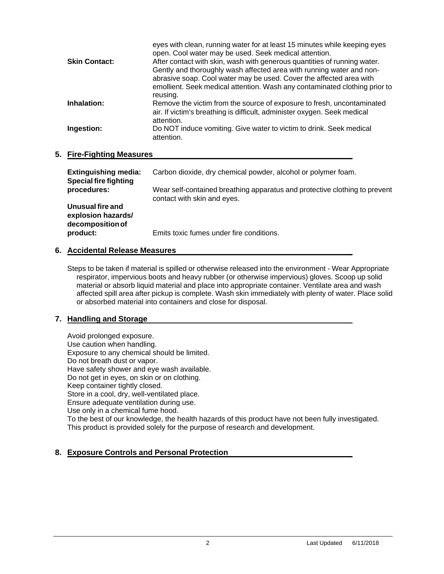| eyes with clean, running water for at least 15 minutes while keeping eyes<br>open. Cool water may be used. Seek medical attention.                |
|---------------------------------------------------------------------------------------------------------------------------------------------------|
| After contact with skin, wash with generous quantities of running water.                                                                          |
| Gently and thoroughly wash affected area with running water and non-                                                                              |
| abrasive soap. Cool water may be used. Cover the affected area with<br>emollient. Seek medical attention. Wash any contaminated clothing prior to |
| reusing.                                                                                                                                          |
| Remove the victim from the source of exposure to fresh, uncontaminated                                                                            |
| air. If victim's breathing is difficult, administer oxygen. Seek medical<br>attention.                                                            |
| Do NOT induce vomiting. Give water to victim to drink. Seek medical<br>attention.                                                                 |
|                                                                                                                                                   |

# **5. Fire-Fighting Measures**

| <b>Extinguishing media:</b><br><b>Special fire fighting</b> | Carbon dioxide, dry chemical powder, alcohol or polymer foam.                                             |
|-------------------------------------------------------------|-----------------------------------------------------------------------------------------------------------|
| procedures:                                                 | Wear self-contained breathing apparatus and protective clothing to prevent<br>contact with skin and eyes. |
| Unusual fire and<br>explosion hazards/<br>decomposition of  |                                                                                                           |
| product:                                                    | Emits toxic fumes under fire conditions.                                                                  |

# **6. Accidental Release Measures**

Steps to be taken if material is spilled or otherwise released into the environment - Wear Appropriate respirator, impervious boots and heavy rubber (or otherwise impervious) gloves. Scoop up solid material or absorb liquid material and place into appropriate container. Ventilate area and wash affected spill area after pickup is complete. Wash skin immediately with plenty of water. Place solid or absorbed material into containers and close for disposal.

# **7. Handling and Storage**

Avoid prolonged exposure. Use caution when handling. Exposure to any chemical should be limited. Do not breath dust or vapor. Have safety shower and eye wash available. Do not get in eyes, on skin or on clothing. Keep container tightly closed. Store in a cool, dry, well-ventilated place. Ensure adequate ventilation during use. Use only in a chemical fume hood. To the best of our knowledge, the health hazards of this product have not been fully investigated. This product is provided solely for the purpose of research and development.

# **8. Exposure Controls and Personal Protection**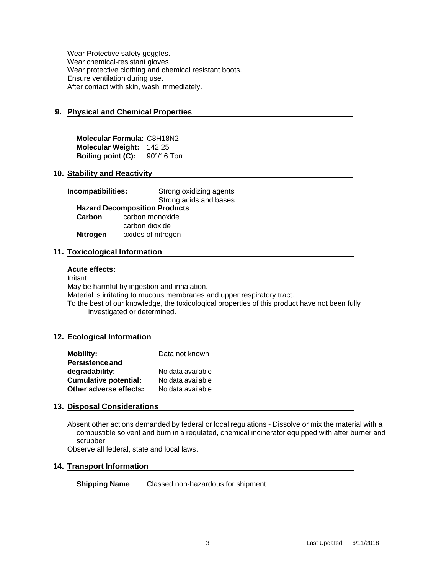Wear Protective safety goggles. Wear chemical-resistant gloves. Wear protective clothing and chemical resistant boots. Ensure ventilation during use. After contact with skin, wash immediately.

# **9. Physical and Chemical Properties**

**Molecular Formula:** C8H18N2 **Molecular Weight:** 142.25 **Boiling point (C):** 90°/16 Torr

# **10. Stability and Reactivity**

| Incompatibilities:                   | Strong oxidizing agents<br>Strong acids and bases |  |  |  |
|--------------------------------------|---------------------------------------------------|--|--|--|
| <b>Hazard Decomposition Products</b> |                                                   |  |  |  |
| Carbon                               | carbon monoxide                                   |  |  |  |
|                                      | carbon dioxide                                    |  |  |  |
| <b>Nitrogen</b>                      | oxides of nitrogen                                |  |  |  |

# **11. Toxicological Information**

#### **Acute effects:**

Irritant May be harmful by ingestion and inhalation. Material is irritating to mucous membranes and upper respiratory tract. To the best of our knowledge, the toxicological properties of this product have not been fully investigated or determined.

#### **12. Ecological Information**

| <b>Mobility:</b>             | Data not known    |
|------------------------------|-------------------|
| <b>Persistence and</b>       |                   |
| degradability:               | No data available |
| <b>Cumulative potential:</b> | No data available |
| Other adverse effects:       | No data available |

# **13. Disposal Considerations**

Absent other actions demanded by federal or local regulations - Dissolve or mix the material with a combustible solvent and burn in a requlated, chemical incinerator equipped with after burner and scrubber.

Observe all federal, state and local laws.

# **14. Transport Information**

**Shipping Name** Classed non-hazardous for shipment